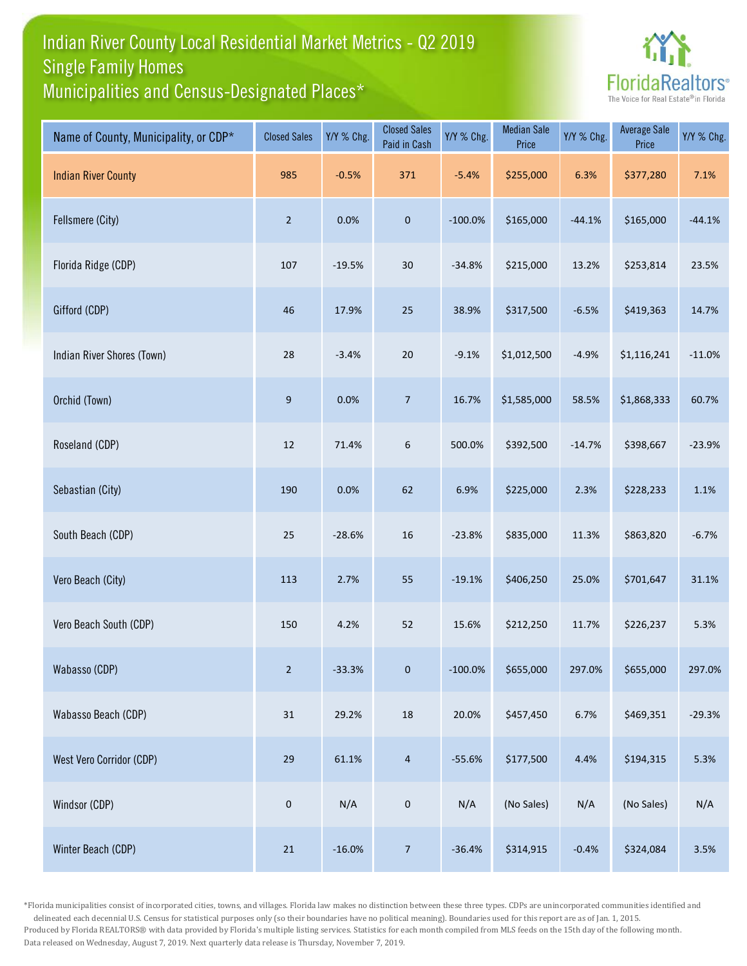## Indian River County Local Residential Market Metrics - Q2 2019 Municipalities and Census-Designated Places\* Single Family Homes



| Name of County, Municipality, or CDP* | <b>Closed Sales</b> | Y/Y % Chg. | <b>Closed Sales</b><br>Paid in Cash | Y/Y % Chg. | <b>Median Sale</b><br>Price | Y/Y % Chg. | <b>Average Sale</b><br>Price | Y/Y % Chg. |
|---------------------------------------|---------------------|------------|-------------------------------------|------------|-----------------------------|------------|------------------------------|------------|
| <b>Indian River County</b>            | 985                 | $-0.5%$    | 371                                 | $-5.4%$    | \$255,000                   | 6.3%       | \$377,280                    | 7.1%       |
| Fellsmere (City)                      | $\overline{2}$      | 0.0%       | $\mathbf 0$                         | $-100.0%$  | \$165,000                   | $-44.1%$   | \$165,000                    | $-44.1%$   |
| Florida Ridge (CDP)                   | 107                 | $-19.5%$   | $30\,$                              | $-34.8%$   | \$215,000                   | 13.2%      | \$253,814                    | 23.5%      |
| Gifford (CDP)                         | 46                  | 17.9%      | $25\,$                              | 38.9%      | \$317,500                   | $-6.5%$    | \$419,363                    | 14.7%      |
| Indian River Shores (Town)            | 28                  | $-3.4%$    | $20\,$                              | $-9.1%$    | \$1,012,500                 | $-4.9%$    | \$1,116,241                  | $-11.0%$   |
| Orchid (Town)                         | $9\,$               | 0.0%       | $\overline{7}$                      | 16.7%      | \$1,585,000                 | 58.5%      | \$1,868,333                  | 60.7%      |
| Roseland (CDP)                        | 12                  | 71.4%      | 6                                   | 500.0%     | \$392,500                   | $-14.7%$   | \$398,667                    | $-23.9%$   |
| Sebastian (City)                      | 190                 | 0.0%       | 62                                  | 6.9%       | \$225,000                   | 2.3%       | \$228,233                    | 1.1%       |
| South Beach (CDP)                     | 25                  | $-28.6%$   | $16\,$                              | $-23.8%$   | \$835,000                   | 11.3%      | \$863,820                    | $-6.7%$    |
| Vero Beach (City)                     | 113                 | 2.7%       | 55                                  | $-19.1%$   | \$406,250                   | 25.0%      | \$701,647                    | 31.1%      |
| Vero Beach South (CDP)                | 150                 | 4.2%       | 52                                  | 15.6%      | \$212,250                   | 11.7%      | \$226,237                    | 5.3%       |
| Wabasso (CDP)                         | $\overline{2}$      | $-33.3%$   | $\mathbf{0}$                        | $-100.0\%$ | \$655,000                   | 297.0%     | \$655,000                    | 297.0%     |
| Wabasso Beach (CDP)                   | 31                  | 29.2%      | $18\,$                              | 20.0%      | \$457,450                   | 6.7%       | \$469,351                    | $-29.3%$   |
| West Vero Corridor (CDP)              | 29                  | 61.1%      | $\overline{4}$                      | $-55.6%$   | \$177,500                   | 4.4%       | \$194,315                    | 5.3%       |
| Windsor (CDP)                         | $\mathbf 0$         | N/A        | $\mathsf{O}\xspace$                 | N/A        | (No Sales)                  | N/A        | (No Sales)                   | N/A        |
| Winter Beach (CDP)                    | $21\,$              | $-16.0%$   | $\overline{7}$                      | $-36.4%$   | \$314,915                   | $-0.4%$    | \$324,084                    | 3.5%       |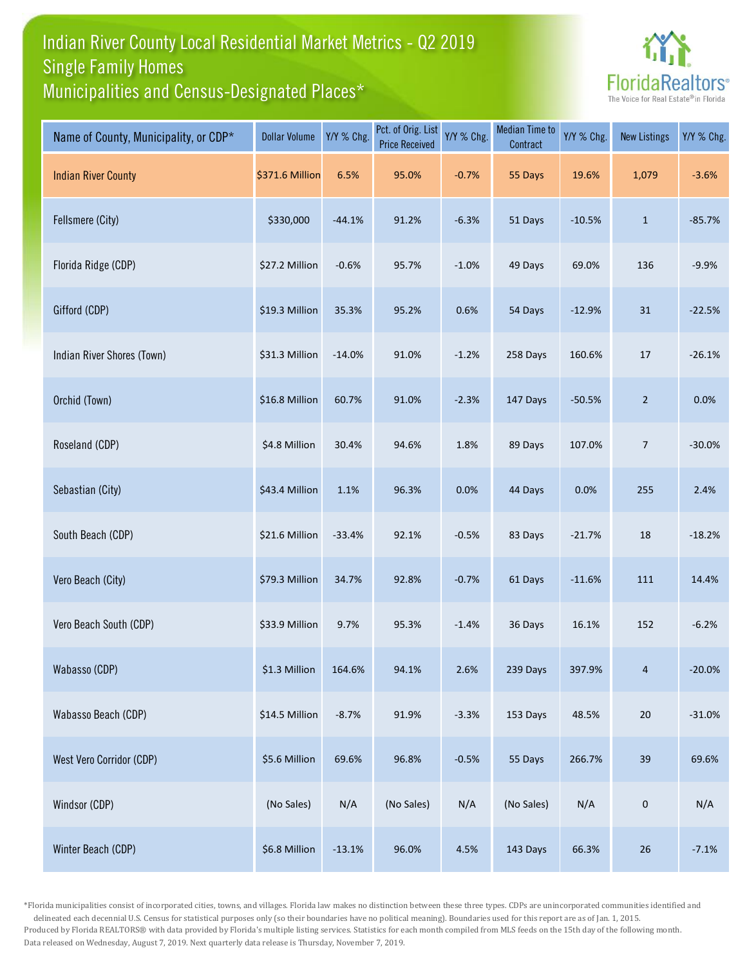## Indian River County Local Residential Market Metrics - Q2 2019 Municipalities and Census-Designated Places\* Single Family Homes



| Name of County, Municipality, or CDP* | <b>Dollar Volume</b> | Y/Y % Chg. | Pct. of Orig. List<br><b>Price Received</b> | Y/Y % Chg. | <b>Median Time to</b><br>Contract | Y/Y % Chg. | <b>New Listings</b> | Y/Y % Chg. |
|---------------------------------------|----------------------|------------|---------------------------------------------|------------|-----------------------------------|------------|---------------------|------------|
| <b>Indian River County</b>            | \$371.6 Million      | 6.5%       | 95.0%                                       | $-0.7%$    | 55 Days                           | 19.6%      | 1,079               | $-3.6%$    |
| Fellsmere (City)                      | \$330,000            | $-44.1%$   | 91.2%                                       | $-6.3%$    | 51 Days                           | $-10.5%$   | $\mathbf{1}$        | $-85.7%$   |
| Florida Ridge (CDP)                   | \$27.2 Million       | $-0.6%$    | 95.7%                                       | $-1.0%$    | 49 Days                           | 69.0%      | 136                 | $-9.9%$    |
| Gifford (CDP)                         | \$19.3 Million       | 35.3%      | 95.2%                                       | 0.6%       | 54 Days                           | $-12.9%$   | 31                  | $-22.5%$   |
| Indian River Shores (Town)            | \$31.3 Million       | $-14.0%$   | 91.0%                                       | $-1.2%$    | 258 Days                          | 160.6%     | 17                  | $-26.1%$   |
| Orchid (Town)                         | \$16.8 Million       | 60.7%      | 91.0%                                       | $-2.3%$    | 147 Days                          | $-50.5%$   | $\overline{2}$      | 0.0%       |
| Roseland (CDP)                        | \$4.8 Million        | 30.4%      | 94.6%                                       | 1.8%       | 89 Days                           | 107.0%     | $\overline{7}$      | $-30.0%$   |
| Sebastian (City)                      | \$43.4 Million       | 1.1%       | 96.3%                                       | 0.0%       | 44 Days                           | 0.0%       | 255                 | 2.4%       |
| South Beach (CDP)                     | \$21.6 Million       | $-33.4%$   | 92.1%                                       | $-0.5%$    | 83 Days                           | $-21.7%$   | 18                  | $-18.2%$   |
| Vero Beach (City)                     | \$79.3 Million       | 34.7%      | 92.8%                                       | $-0.7%$    | 61 Days                           | $-11.6%$   | 111                 | 14.4%      |
| Vero Beach South (CDP)                | \$33.9 Million       | 9.7%       | 95.3%                                       | $-1.4%$    | 36 Days                           | 16.1%      | 152                 | $-6.2%$    |
| Wabasso (CDP)                         | \$1.3 Million        | 164.6%     | 94.1%                                       | 2.6%       | 239 Days                          | 397.9%     | 4                   | $-20.0%$   |
| Wabasso Beach (CDP)                   | \$14.5 Million       | $-8.7%$    | 91.9%                                       | $-3.3%$    | 153 Days                          | 48.5%      | 20                  | $-31.0%$   |
| West Vero Corridor (CDP)              | \$5.6 Million        | 69.6%      | 96.8%                                       | $-0.5%$    | 55 Days                           | 266.7%     | 39                  | 69.6%      |
| Windsor (CDP)                         | (No Sales)           | N/A        | (No Sales)                                  | N/A        | (No Sales)                        | N/A        | $\pmb{0}$           | N/A        |
| Winter Beach (CDP)                    | \$6.8 Million        | $-13.1%$   | 96.0%                                       | 4.5%       | 143 Days                          | 66.3%      | 26                  | $-7.1%$    |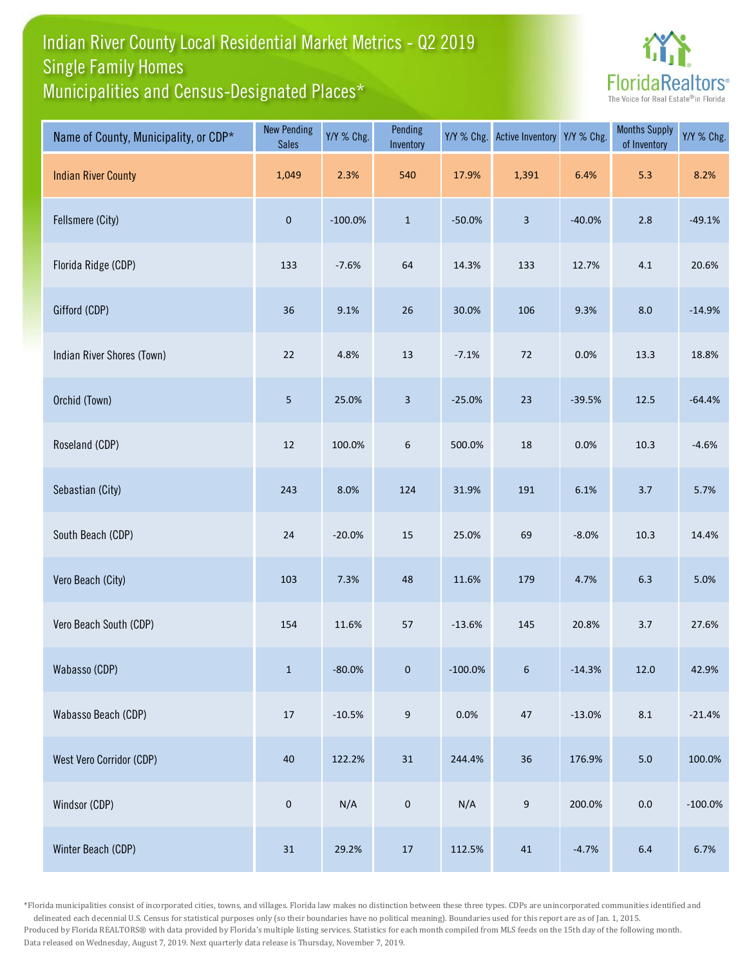## Indian River County Local Residential Market Metrics - Q2 2019 Municipalities and Census-Designated Places\* Single Family Homes



| Name of County, Municipality, or CDP* | <b>New Pending</b><br><b>Sales</b> | Y/Y % Chg. | Pending<br>Inventory | Y/Y % Chg. | <b>Active Inventory</b> | Y/Y % Chg. | <b>Months Supply</b><br>of Inventory | Y/Y % Chg. |
|---------------------------------------|------------------------------------|------------|----------------------|------------|-------------------------|------------|--------------------------------------|------------|
| <b>Indian River County</b>            | 1,049                              | 2.3%       | 540                  | 17.9%      | 1,391                   | 6.4%       | 5.3                                  | 8.2%       |
| Fellsmere (City)                      | $\pmb{0}$                          | $-100.0\%$ | $\mathbf 1$          | $-50.0%$   | $\overline{\mathbf{3}}$ | $-40.0%$   | 2.8                                  | $-49.1%$   |
| Florida Ridge (CDP)                   | 133                                | $-7.6%$    | 64                   | 14.3%      | 133                     | 12.7%      | $4.1\,$                              | 20.6%      |
| Gifford (CDP)                         | 36                                 | 9.1%       | $26\,$               | 30.0%      | 106                     | 9.3%       | 8.0                                  | $-14.9%$   |
| Indian River Shores (Town)            | $22\,$                             | 4.8%       | 13                   | $-7.1%$    | 72                      | 0.0%       | 13.3                                 | 18.8%      |
| Orchid (Town)                         | $\overline{5}$                     | 25.0%      | 3                    | $-25.0%$   | 23                      | $-39.5%$   | 12.5                                 | $-64.4%$   |
| Roseland (CDP)                        | 12                                 | 100.0%     | $\boldsymbol{6}$     | 500.0%     | $18\,$                  | 0.0%       | 10.3                                 | $-4.6%$    |
| Sebastian (City)                      | 243                                | 8.0%       | 124                  | 31.9%      | 191                     | 6.1%       | 3.7                                  | 5.7%       |
| South Beach (CDP)                     | 24                                 | $-20.0%$   | 15                   | 25.0%      | 69                      | $-8.0%$    | 10.3                                 | 14.4%      |
| Vero Beach (City)                     | 103                                | 7.3%       | 48                   | 11.6%      | 179                     | 4.7%       | 6.3                                  | 5.0%       |
| Vero Beach South (CDP)                | 154                                | 11.6%      | 57                   | $-13.6%$   | 145                     | 20.8%      | $3.7$                                | 27.6%      |
| Wabasso (CDP)                         | $\mathbf{1}$                       | $-80.0%$   | $\mathbf{0}$         | $-100.0\%$ | $6\overline{6}$         | $-14.3%$   | $12.0$                               | 42.9%      |
| Wabasso Beach (CDP)                   | $17\,$                             | $-10.5%$   | $9\,$                | 0.0%       | 47                      | $-13.0%$   | $8.1\,$                              | $-21.4%$   |
| West Vero Corridor (CDP)              | $40\,$                             | 122.2%     | 31                   | 244.4%     | 36                      | 176.9%     | $5.0$                                | 100.0%     |
| Windsor (CDP)                         | $\mathbf 0$                        | N/A        | $\pmb{0}$            | N/A        | $\boldsymbol{9}$        | 200.0%     | $0.0\,$                              | $-100.0%$  |
| Winter Beach (CDP)                    | 31                                 | 29.2%      | $17\,$               | 112.5%     | $41\,$                  | $-4.7%$    | $6.4\,$                              | 6.7%       |